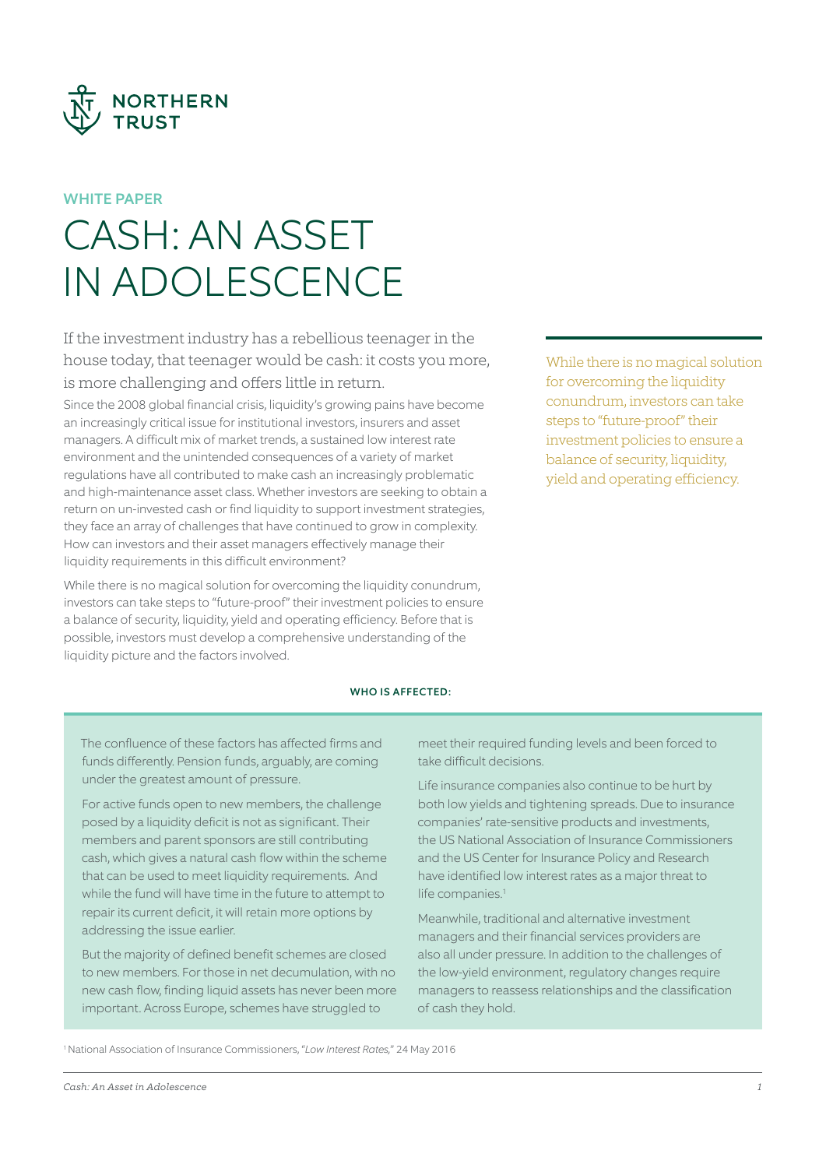

# WHITE PAPER

# CASH: AN ASSET IN ADOLESCENCE

If the investment industry has a rebellious teenager in the house today, that teenager would be cash: it costs you more, is more challenging and offers little in return.

Since the 2008 global financial crisis, liquidity's growing pains have become an increasingly critical issue for institutional investors, insurers and asset managers. A difficult mix of market trends, a sustained low interest rate environment and the unintended consequences of a variety of market regulations have all contributed to make cash an increasingly problematic and high-maintenance asset class. Whether investors are seeking to obtain a return on un-invested cash or find liquidity to support investment strategies, they face an array of challenges that have continued to grow in complexity. How can investors and their asset managers effectively manage their liquidity requirements in this difficult environment?

While there is no magical solution for overcoming the liquidity conundrum, investors can take steps to "future-proof" their investment policies to ensure a balance of security, liquidity, yield and operating efficiency. Before that is possible, investors must develop a comprehensive understanding of the liquidity picture and the factors involved.

# WHO IS AFFECTED:

The confluence of these factors has affected firms and funds differently. Pension funds, arguably, are coming under the greatest amount of pressure.

For active funds open to new members, the challenge posed by a liquidity deficit is not as significant. Their members and parent sponsors are still contributing cash, which gives a natural cash flow within the scheme that can be used to meet liquidity requirements. And while the fund will have time in the future to attempt to repair its current deficit, it will retain more options by addressing the issue earlier.

But the majority of defined benefit schemes are closed to new members. For those in net decumulation, with no new cash flow, finding liquid assets has never been more important. Across Europe, schemes have struggled to

meet their required funding levels and been forced to take difficult decisions.

Life insurance companies also continue to be hurt by both low yields and tightening spreads. Due to insurance companies' rate-sensitive products and investments, the US National Association of Insurance Commissioners and the US Center for Insurance Policy and Research have identified low interest rates as a major threat to life companies.<sup>1</sup>

Meanwhile, traditional and alternative investment managers and their financial services providers are also all under pressure. In addition to the challenges of the low-yield environment, regulatory changes require managers to reassess relationships and the classification of cash they hold.

1 National Association of Insurance Commissioners, "*Low Interest Rates,*" 24 May 2016

While there is no magical solution for overcoming the liquidity conundrum, investors can take steps to "future-proof" their investment policies to ensure a balance of security, liquidity, yield and operating efficiency.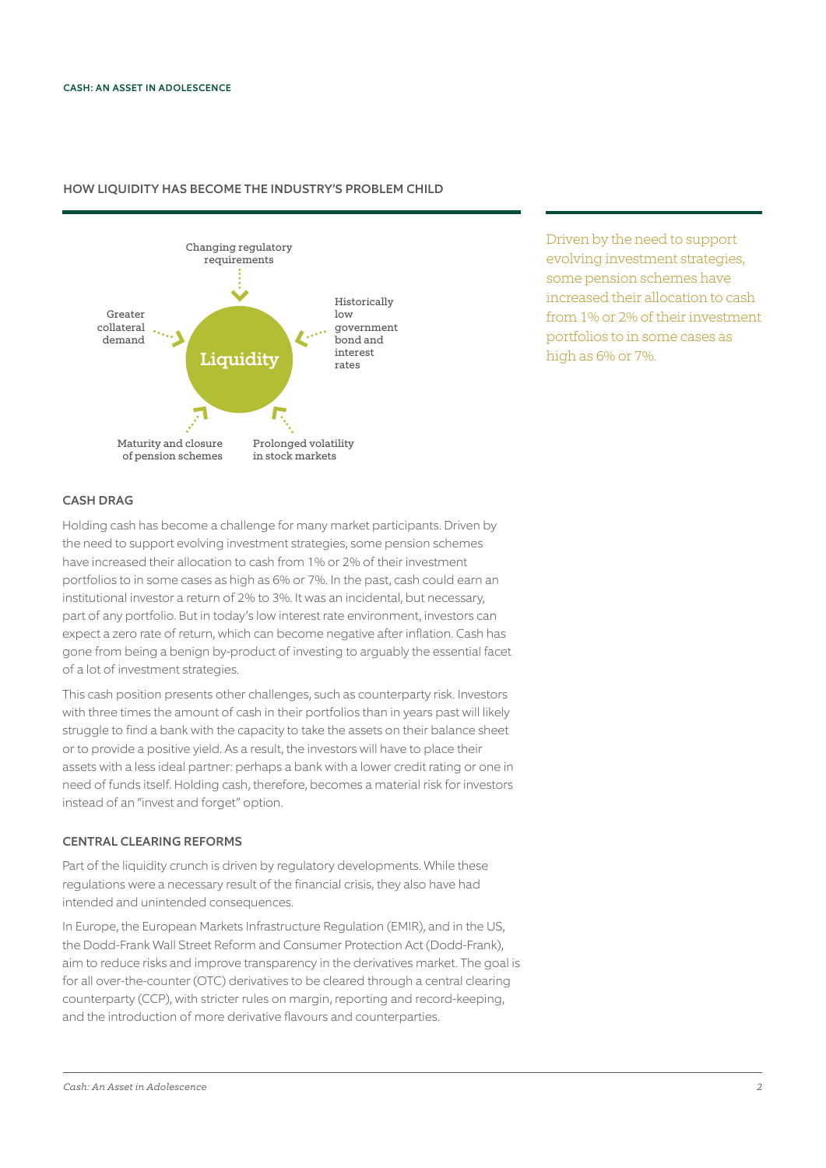

# HOW LIQUIDITY HAS BECOME THE INDUSTRY'S PROBLEM CHILD

Driven by the need to support evolving investment strategies, some pension schemes have increased their allocation to cash from 1% or 2% of their investment portfolios to in some cases as high as 6% or 7%.

## CASH DRAG

Holding cash has become a challenge for many market participants. Driven by the need to support evolving investment strategies, some pension schemes have increased their allocation to cash from 1% or 2% of their investment portfolios to in some cases as high as 6% or 7%. In the past, cash could earn an institutional investor a return of 2% to 3%. It was an incidental, but necessary, part of any portfolio. But in today's low interest rate environment, investors can expect a zero rate of return, which can become negative after inflation. Cash has gone from being a benign by-product of investing to arguably the essential facet of a lot of investment strategies.

This cash position presents other challenges, such as counterparty risk. Investors with three times the amount of cash in their portfolios than in years past will likely struggle to find a bank with the capacity to take the assets on their balance sheet or to provide a positive yield. As a result, the investors will have to place their assets with a less ideal partner: perhaps a bank with a lower credit rating or one in need of funds itself. Holding cash, therefore, becomes a material risk for investors instead of an "invest and forget" option.

# CENTRAL CLEARING REFORMS

Part of the liquidity crunch is driven by regulatory developments. While these regulations were a necessary result of the financial crisis, they also have had intended and unintended consequences.

In Europe, the European Markets Infrastructure Regulation (EMIR), and in the US, the Dodd-Frank Wall Street Reform and Consumer Protection Act (Dodd-Frank), aim to reduce risks and improve transparency in the derivatives market. The goal is for all over-the-counter (OTC) derivatives to be cleared through a central clearing counterparty (CCP), with stricter rules on margin, reporting and record-keeping, and the introduction of more derivative flavours and counterparties.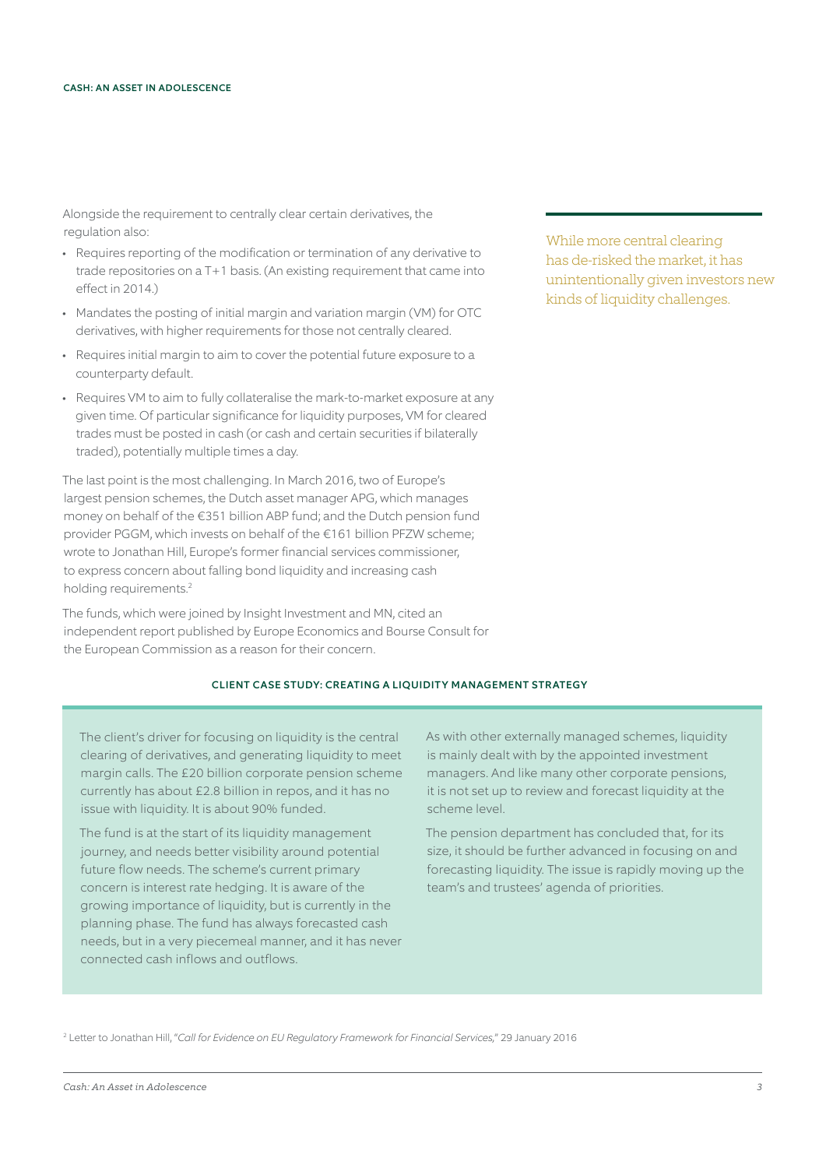Alongside the requirement to centrally clear certain derivatives, the regulation also:

- Requires reporting of the modification or termination of any derivative to trade repositories on a T+1 basis. (An existing requirement that came into effect in 2014.)
- Mandates the posting of initial margin and variation margin (VM) for OTC derivatives, with higher requirements for those not centrally cleared.
- Requires initial margin to aim to cover the potential future exposure to a counterparty default.
- Requires VM to aim to fully collateralise the mark-to-market exposure at any given time. Of particular significance for liquidity purposes, VM for cleared trades must be posted in cash (or cash and certain securities if bilaterally traded), potentially multiple times a day.

The last point is the most challenging. In March 2016, two of Europe's largest pension schemes, the Dutch asset manager APG, which manages money on behalf of the €351 billion ABP fund; and the Dutch pension fund provider PGGM, which invests on behalf of the €161 billion PFZW scheme; wrote to Jonathan Hill, Europe's former financial services commissioner, to express concern about falling bond liquidity and increasing cash holding requirements.<sup>2</sup>

The funds, which were joined by Insight Investment and MN, cited an independent report published by Europe Economics and Bourse Consult for the European Commission as a reason for their concern.

While more central clearing has de-risked the market, it has unintentionally given investors new kinds of liquidity challenges.

## CLIENT CASE STUDY: CREATING A LIQUIDITY MANAGEMENT STRATEGY

The client's driver for focusing on liquidity is the central clearing of derivatives, and generating liquidity to meet margin calls. The £20 billion corporate pension scheme currently has about £2.8 billion in repos, and it has no issue with liquidity. It is about 90% funded.

The fund is at the start of its liquidity management journey, and needs better visibility around potential future flow needs. The scheme's current primary concern is interest rate hedging. It is aware of the growing importance of liquidity, but is currently in the planning phase. The fund has always forecasted cash needs, but in a very piecemeal manner, and it has never connected cash inflows and outflows.

As with other externally managed schemes, liquidity is mainly dealt with by the appointed investment managers. And like many other corporate pensions, it is not set up to review and forecast liquidity at the scheme level.

The pension department has concluded that, for its size, it should be further advanced in focusing on and forecasting liquidity. The issue is rapidly moving up the team's and trustees' agenda of priorities.

2 Letter to Jonathan Hill, "*Call for Evidence on EU Regulatory Framework for Financial Services,*" 29 January 2016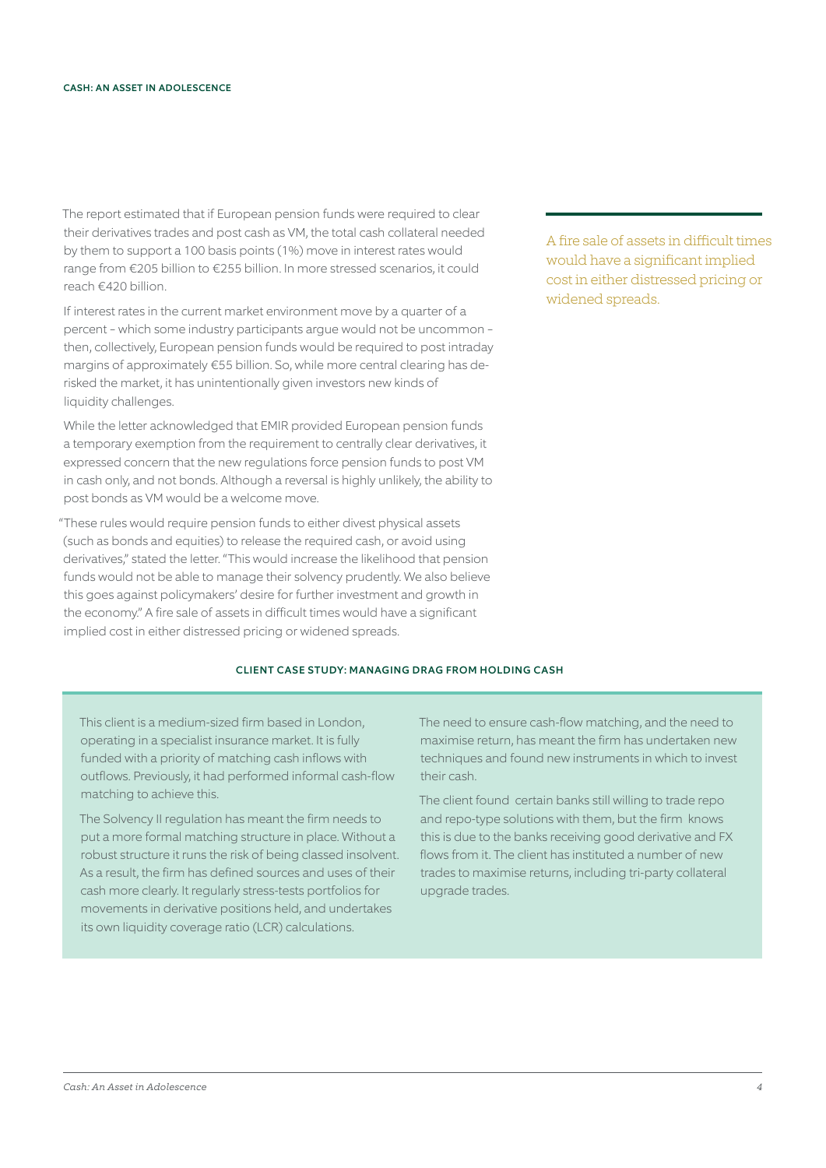The report estimated that if European pension funds were required to clear their derivatives trades and post cash as VM, the total cash collateral needed by them to support a 100 basis points (1%) move in interest rates would range from €205 billion to €255 billion. In more stressed scenarios, it could reach €420 billion.

If interest rates in the current market environment move by a quarter of a percent - which some industry participants argue would not be uncommon then, collectively, European pension funds would be required to post intraday margins of approximately €55 billion. So, while more central clearing has derisked the market, it has unintentionally given investors new kinds of liquidity challenges.

While the letter acknowledged that EMIR provided European pension funds a temporary exemption from the requirement to centrally clear derivatives, it expressed concern that the new regulations force pension funds to post VM in cash only, and not bonds. Although a reversal is highly unlikely, the ability to post bonds as VM would be a welcome move.

"These rules would require pension funds to either divest physical assets (such as bonds and equities) to release the required cash, or avoid using derivatives," stated the letter. "This would increase the likelihood that pension funds would not be able to manage their solvency prudently. We also believe this goes against policymakers' desire for further investment and growth in the economy." A fire sale of assets in difficult times would have a significant implied cost in either distressed pricing or widened spreads.

CLIENT CASE STUDY: MANAGING DRAG FROM HOLDING CASH

This client is a medium-sized firm based in London, operating in a specialist insurance market. It is fully funded with a priority of matching cash inflows with outflows. Previously, it had performed informal cash-flow matching to achieve this.

The Solvency II regulation has meant the firm needs to put a more formal matching structure in place. Without a robust structure it runs the risk of being classed insolvent. As a result, the firm has defined sources and uses of their cash more clearly. It regularly stress-tests portfolios for movements in derivative positions held, and undertakes its own liquidity coverage ratio (LCR) calculations.

A fire sale of assets in difficult times would have a significant implied cost in either distressed pricing or widened spreads.

The need to ensure cash-flow matching, and the need to maximise return, has meant the firm has undertaken new techniques and found new instruments in which to invest their cash.

The client found certain banks still willing to trade repo and repo-type solutions with them, but the firm knows this is due to the banks receiving good derivative and FX flows from it. The client has instituted a number of new trades to maximise returns, including tri-party collateral upgrade trades.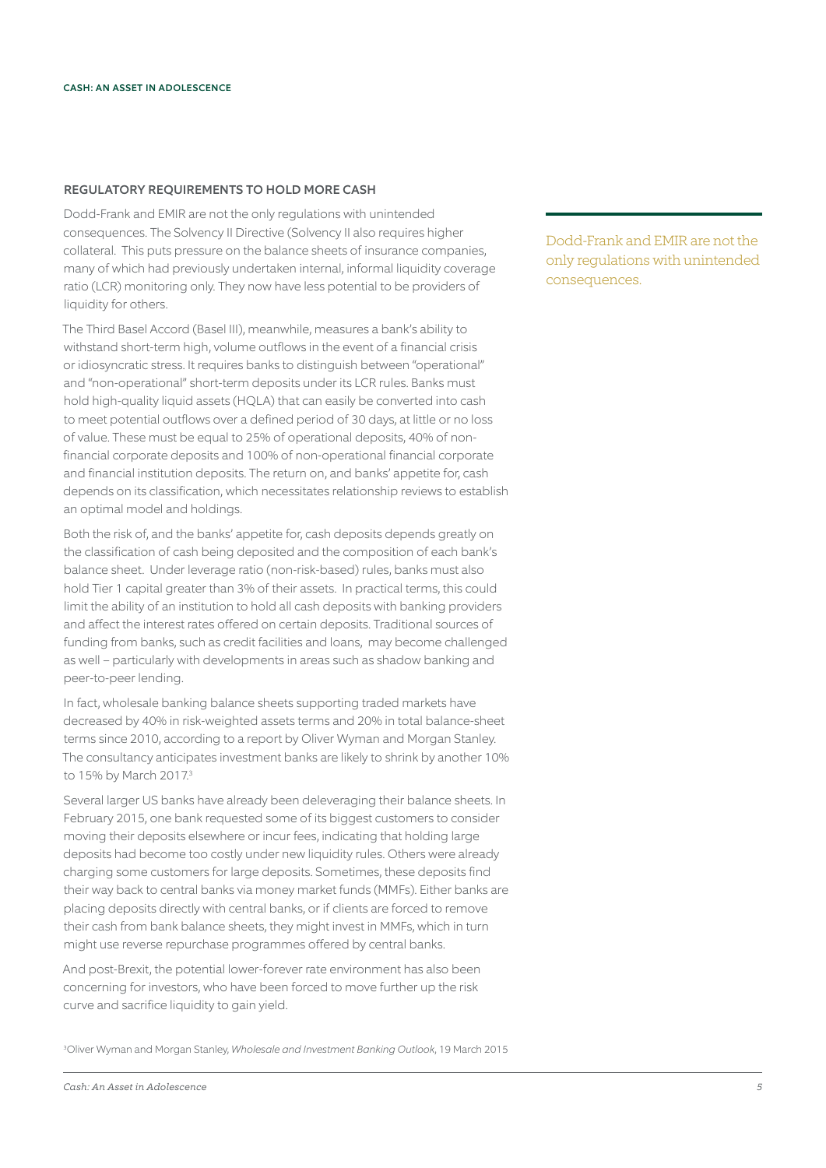# REGULATORY REQUIREMENTS TO HOLD MORE CASH

Dodd-Frank and EMIR are not the only regulations with unintended consequences. The Solvency II Directive (Solvency II also requires higher collateral. This puts pressure on the balance sheets of insurance companies, many of which had previously undertaken internal, informal liquidity coverage ratio (LCR) monitoring only. They now have less potential to be providers of liquidity for others.

The Third Basel Accord (Basel III), meanwhile, measures a bank's ability to withstand short-term high, volume outflows in the event of a financial crisis or idiosyncratic stress. It requires banks to distinguish between "operational" and "non-operational" short-term deposits under its LCR rules. Banks must hold high-quality liquid assets (HQLA) that can easily be converted into cash to meet potential outflows over a defined period of 30 days, at little or no loss of value. These must be equal to 25% of operational deposits, 40% of nonfinancial corporate deposits and 100% of non-operational financial corporate and financial institution deposits. The return on, and banks' appetite for, cash depends on its classification, which necessitates relationship reviews to establish an optimal model and holdings.

Both the risk of, and the banks' appetite for, cash deposits depends greatly on the classification of cash being deposited and the composition of each bank's balance sheet. Under leverage ratio (non-risk-based) rules, banks must also hold Tier 1 capital greater than 3% of their assets. In practical terms, this could limit the ability of an institution to hold all cash deposits with banking providers and affect the interest rates offered on certain deposits. Traditional sources of funding from banks, such as credit facilities and loans, may become challenged as well – particularly with developments in areas such as shadow banking and peer-to-peer lending.

In fact, wholesale banking balance sheets supporting traded markets have decreased by 40% in risk-weighted assets terms and 20% in total balance-sheet terms since 2010, according to a report by Oliver Wyman and Morgan Stanley. The consultancy anticipates investment banks are likely to shrink by another 10% to 15% by March 2017.3

Several larger US banks have already been deleveraging their balance sheets. In February 2015, one bank requested some of its biggest customers to consider moving their deposits elsewhere or incur fees, indicating that holding large deposits had become too costly under new liquidity rules. Others were already charging some customers for large deposits. Sometimes, these deposits find their way back to central banks via money market funds (MMFs). Either banks are placing deposits directly with central banks, or if clients are forced to remove their cash from bank balance sheets, they might invest in MMFs, which in turn might use reverse repurchase programmes offered by central banks.

And post-Brexit, the potential lower-forever rate environment has also been concerning for investors, who have been forced to move further up the risk curve and sacrifice liquidity to gain yield.

3 Oliver Wyman and Morgan Stanley, *Wholesale and Investment Banking Outlook*, 19 March 2015

Dodd-Frank and EMIR are not the only regulations with unintended consequences.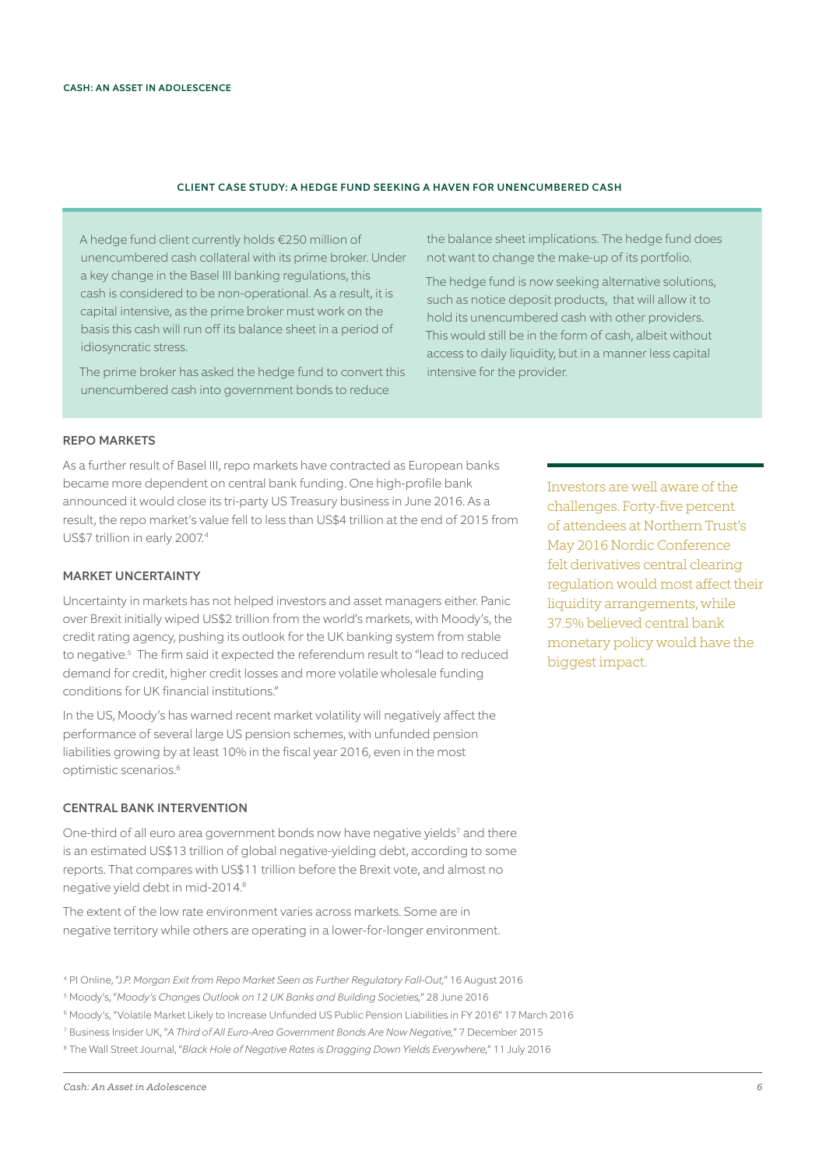#### CLIENT CASE STUDY: A HEDGE FUND SEEKING A HAVEN FOR UNENCUMBERED CASH

A hedge fund client currently holds €250 million of unencumbered cash collateral with its prime broker. Under a key change in the Basel III banking regulations, this cash is considered to be non-operational. As a result, it is capital intensive, as the prime broker must work on the basis this cash will run off its balance sheet in a period of idiosyncratic stress.

The prime broker has asked the hedge fund to convert this unencumbered cash into government bonds to reduce

the balance sheet implications. The hedge fund does not want to change the make-up of its portfolio.

The hedge fund is now seeking alternative solutions, such as notice deposit products, that will allow it to hold its unencumbered cash with other providers. This would still be in the form of cash, albeit without access to daily liquidity, but in a manner less capital intensive for the provider.

# REPO MARKETS

As a further result of Basel III, repo markets have contracted as European banks became more dependent on central bank funding. One high-profile bank announced it would close its tri-party US Treasury business in June 2016. As a result, the repo market's value fell to less than US\$4 trillion at the end of 2015 from US\$7 trillion in early 2007.4

# MARKET UNCERTAINTY

Uncertainty in markets has not helped investors and asset managers either. Panic over Brexit initially wiped US\$2 trillion from the world's markets, with Moody's, the credit rating agency, pushing its outlook for the UK banking system from stable to negative.5 The firm said it expected the referendum result to "lead to reduced demand for credit, higher credit losses and more volatile wholesale funding conditions for UK financial institutions."

In the US, Moody's has warned recent market volatility will negatively affect the performance of several large US pension schemes, with unfunded pension liabilities growing by at least 10% in the fiscal year 2016, even in the most optimistic scenarios.6

#### CENTRAL BANK INTERVENTION

One-third of all euro area government bonds now have negative yields<sup>7</sup> and there is an estimated US\$13 trillion of global negative-yielding debt, according to some reports. That compares with US\$11 trillion before the Brexit vote, and almost no negative yield debt in mid-2014.8

The extent of the low rate environment varies across markets. Some are in negative territory while others are operating in a lower-for-longer environment.

4 PI Online, "J.*P. Morgan Exit from Repo Market Seen as Further Regulatory Fall-Out,*" 16 August 2016

- 5 Moody's, "*Moody's Changes Outlook on 12 UK Banks and Building Societies,*" 28 June 2016
- 6 Moody's, "Volatile Market Likely to Increase Unfunded US Public Pension Liabilities in FY 2016" 17 March 2016
- 7 Business Insider UK, "*A Third of All Euro-Area Government Bonds Are Now Negative,*" 7 December 2015

8 The Wall Street Journal, "*Black Hole of Negative Rates is Dragging Down Yields Everywhere,*" 11 July 2016

Investors are well aware of the challenges. Forty-five percent of attendees at Northern Trust's May 2016 Nordic Conference felt derivatives central clearing regulation would most affect their liquidity arrangements, while 37.5% believed central bank monetary policy would have the biggest impact.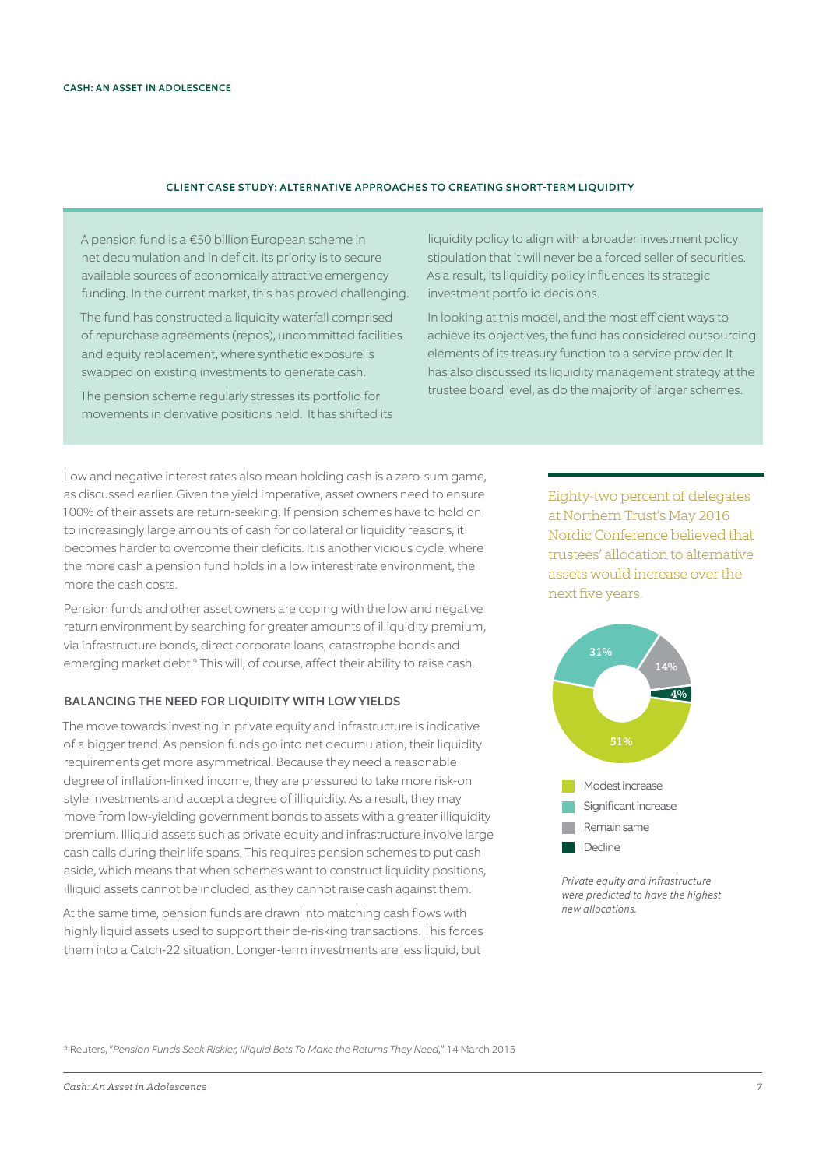# CLIENT CASE STUDY: ALTERNATIVE APPROACHES TO CREATING SHORT-TERM LIQUIDITY

A pension fund is a €50 billion European scheme in net decumulation and in deficit. Its priority is to secure available sources of economically attractive emergency funding. In the current market, this has proved challenging.

The fund has constructed a liquidity waterfall comprised of repurchase agreements (repos), uncommitted facilities and equity replacement, where synthetic exposure is swapped on existing investments to generate cash.

The pension scheme regularly stresses its portfolio for movements in derivative positions held. It has shifted its liquidity policy to align with a broader investment policy stipulation that it will never be a forced seller of securities. As a result, its liquidity policy influences its strategic investment portfolio decisions.

In looking at this model, and the most efficient ways to achieve its objectives, the fund has considered outsourcing elements of its treasury function to a service provider. It has also discussed its liquidity management strategy at the trustee board level, as do the majority of larger schemes.

Low and negative interest rates also mean holding cash is a zero-sum game, as discussed earlier. Given the yield imperative, asset owners need to ensure 100% of their assets are return-seeking. If pension schemes have to hold on to increasingly large amounts of cash for collateral or liquidity reasons, it becomes harder to overcome their deficits. It is another vicious cycle, where the more cash a pension fund holds in a low interest rate environment, the more the cash costs.

Pension funds and other asset owners are coping with the low and negative return environment by searching for greater amounts of illiquidity premium, via infrastructure bonds, direct corporate loans, catastrophe bonds and emerging market debt.<sup>9</sup> This will, of course, affect their ability to raise cash.

# BALANCING THE NEED FOR LIQUIDITY WITH LOW YIELDS

The move towards investing in private equity and infrastructure is indicative of a bigger trend. As pension funds go into net decumulation, their liquidity requirements get more asymmetrical. Because they need a reasonable degree of inflation-linked income, they are pressured to take more risk-on style investments and accept a degree of illiquidity. As a result, they may move from low-yielding government bonds to assets with a greater illiquidity premium. Illiquid assets such as private equity and infrastructure involve large cash calls during their life spans. This requires pension schemes to put cash aside, which means that when schemes want to construct liquidity positions, illiquid assets cannot be included, as they cannot raise cash against them.

At the same time, pension funds are drawn into matching cash flows with highly liquid assets used to support their de-risking transactions. This forces them into a Catch-22 situation. Longer-term investments are less liquid, but

Eighty-two percent of delegates at Northern Trust's May 2016 Nordic Conference believed that trustees' allocation to alternative assets would increase over the next five years.



*Private equity and infrastructure were predicted to have the highest new allocations.*

9 Reuters, "*Pension Funds Seek Riskier, Illiquid Bets To Make the Returns They Need,*" 14 March 2015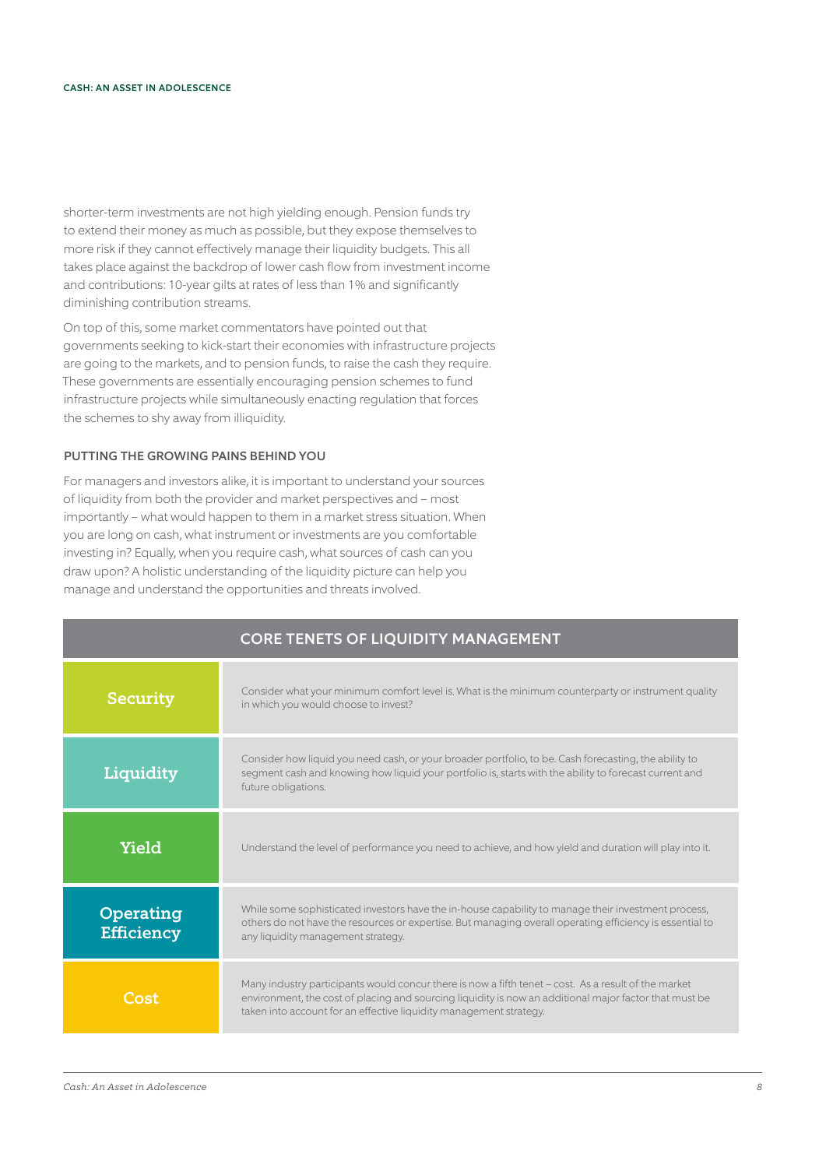shorter-term investments are not high yielding enough. Pension funds try to extend their money as much as possible, but they expose themselves to more risk if they cannot effectively manage their liquidity budgets. This all takes place against the backdrop of lower cash flow from investment income and contributions: 10-year gilts at rates of less than 1% and significantly diminishing contribution streams.

On top of this, some market commentators have pointed out that governments seeking to kick-start their economies with infrastructure projects are going to the markets, and to pension funds, to raise the cash they require. These governments are essentially encouraging pension schemes to fund infrastructure projects while simultaneously enacting regulation that forces the schemes to shy away from illiquidity.

## PUTTING THE GROWING PAINS BEHIND YOU

For managers and investors alike, it is important to understand your sources of liquidity from both the provider and market perspectives and – most importantly – what would happen to them in a market stress situation. When you are long on cash, what instrument or investments are you comfortable investing in? Equally, when you require cash, what sources of cash can you draw upon? A holistic understanding of the liquidity picture can help you manage and understand the opportunities and threats involved.

|                                | <b>CORE TENETS OF LIQUIDITY MANAGEMENT</b>                                                                                                                                                                                                                                           |
|--------------------------------|--------------------------------------------------------------------------------------------------------------------------------------------------------------------------------------------------------------------------------------------------------------------------------------|
| <b>Security</b>                | Consider what your minimum comfort level is. What is the minimum counterparty or instrument quality<br>in which you would choose to invest?                                                                                                                                          |
| Liquidity                      | Consider how liquid you need cash, or your broader portfolio, to be. Cash forecasting, the ability to<br>segment cash and knowing how liquid your portfolio is, starts with the ability to forecast current and<br>future obligations.                                               |
| Yield                          | Understand the level of performance you need to achieve, and how yield and duration will play into it.                                                                                                                                                                               |
| Operating<br><b>Efficiency</b> | While some sophisticated investors have the in-house capability to manage their investment process,<br>others do not have the resources or expertise. But managing overall operating efficiency is essential to<br>any liquidity management strategy.                                |
| Cost                           | Many industry participants would concur there is now a fifth tenet - cost. As a result of the market<br>environment, the cost of placing and sourcing liquidity is now an additional major factor that must be<br>taken into account for an effective liquidity management strategy. |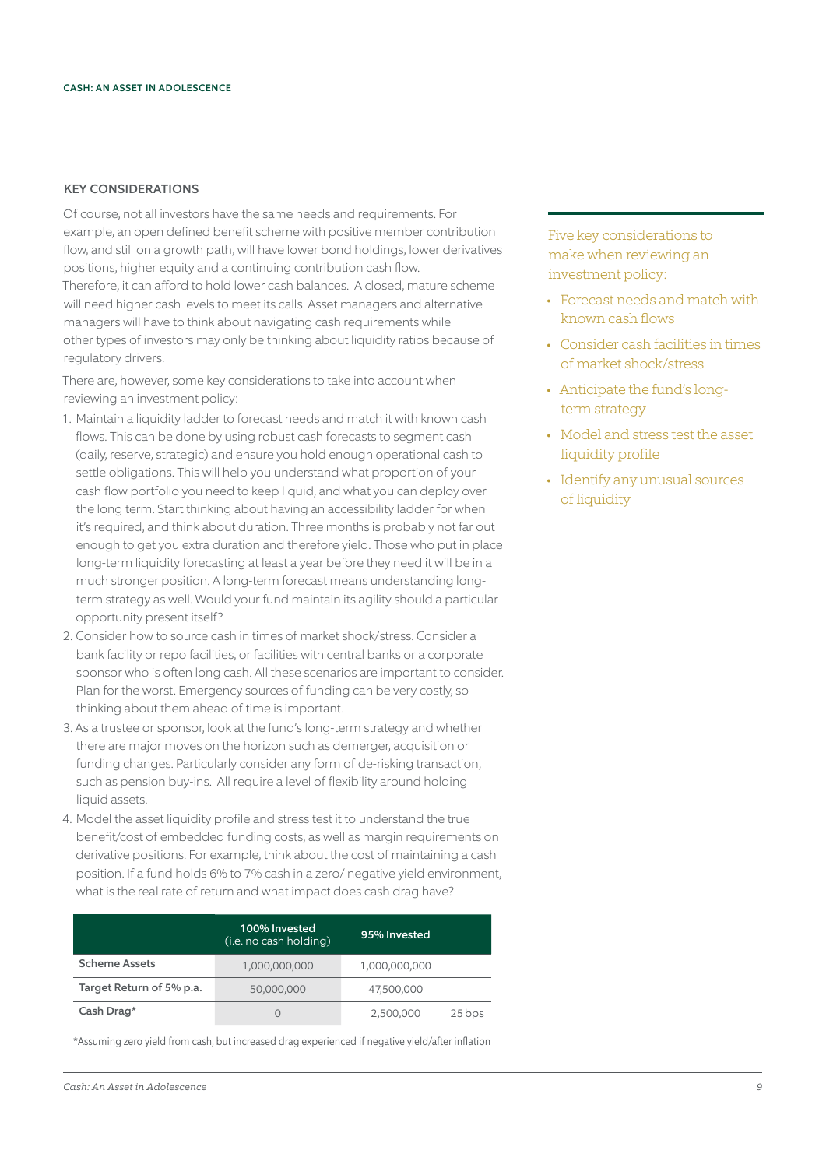## KEY CONSIDERATIONS

Of course, not all investors have the same needs and requirements. For example, an open defined benefit scheme with positive member contribution flow, and still on a growth path, will have lower bond holdings, lower derivatives positions, higher equity and a continuing contribution cash flow. Therefore, it can afford to hold lower cash balances. A closed, mature scheme will need higher cash levels to meet its calls. Asset managers and alternative managers will have to think about navigating cash requirements while other types of investors may only be thinking about liquidity ratios because of regulatory drivers.

There are, however, some key considerations to take into account when reviewing an investment policy:

- 1. Maintain a liquidity ladder to forecast needs and match it with known cash flows. This can be done by using robust cash forecasts to segment cash (daily, reserve, strategic) and ensure you hold enough operational cash to settle obligations. This will help you understand what proportion of your cash flow portfolio you need to keep liquid, and what you can deploy over the long term. Start thinking about having an accessibility ladder for when it's required, and think about duration. Three months is probably not far out enough to get you extra duration and therefore yield. Those who put in place long-term liquidity forecasting at least a year before they need it will be in a much stronger position. A long-term forecast means understanding longterm strategy as well. Would your fund maintain its agility should a particular opportunity present itself?
- 2. Consider how to source cash in times of market shock/stress. Consider a bank facility or repo facilities, or facilities with central banks or a corporate sponsor who is often long cash. All these scenarios are important to consider. Plan for the worst. Emergency sources of funding can be very costly, so thinking about them ahead of time is important.
- 3. As a trustee or sponsor, look at the fund's long-term strategy and whether there are major moves on the horizon such as demerger, acquisition or funding changes. Particularly consider any form of de-risking transaction, such as pension buy-ins. All require a level of flexibility around holding liquid assets.
- 4. Model the asset liquidity profile and stress test it to understand the true benefit/cost of embedded funding costs, as well as margin requirements on derivative positions. For example, think about the cost of maintaining a cash position. If a fund holds 6% to 7% cash in a zero/ negative yield environment, what is the real rate of return and what impact does cash drag have?

|                          | 100% Invested<br>(i.e. no cash holding) | 95% Invested  |        |
|--------------------------|-----------------------------------------|---------------|--------|
| <b>Scheme Assets</b>     | 1,000,000,000                           | 1,000,000,000 |        |
| Target Return of 5% p.a. | 50,000,000                              | 47,500,000    |        |
| Cash Drag*               |                                         | 2,500,000     | 25 bps |

\*Assuming zero yield from cash, but increased drag experienced if negative yield/after inflation

Five key considerations to make when reviewing an investment policy:

- Forecast needs and match with known cash flows
- Consider cash facilities in times of market shock/stress
- Anticipate the fund's longterm strategy
- Model and stress test the asset liquidity profile
- Identify any unusual sources of liquidity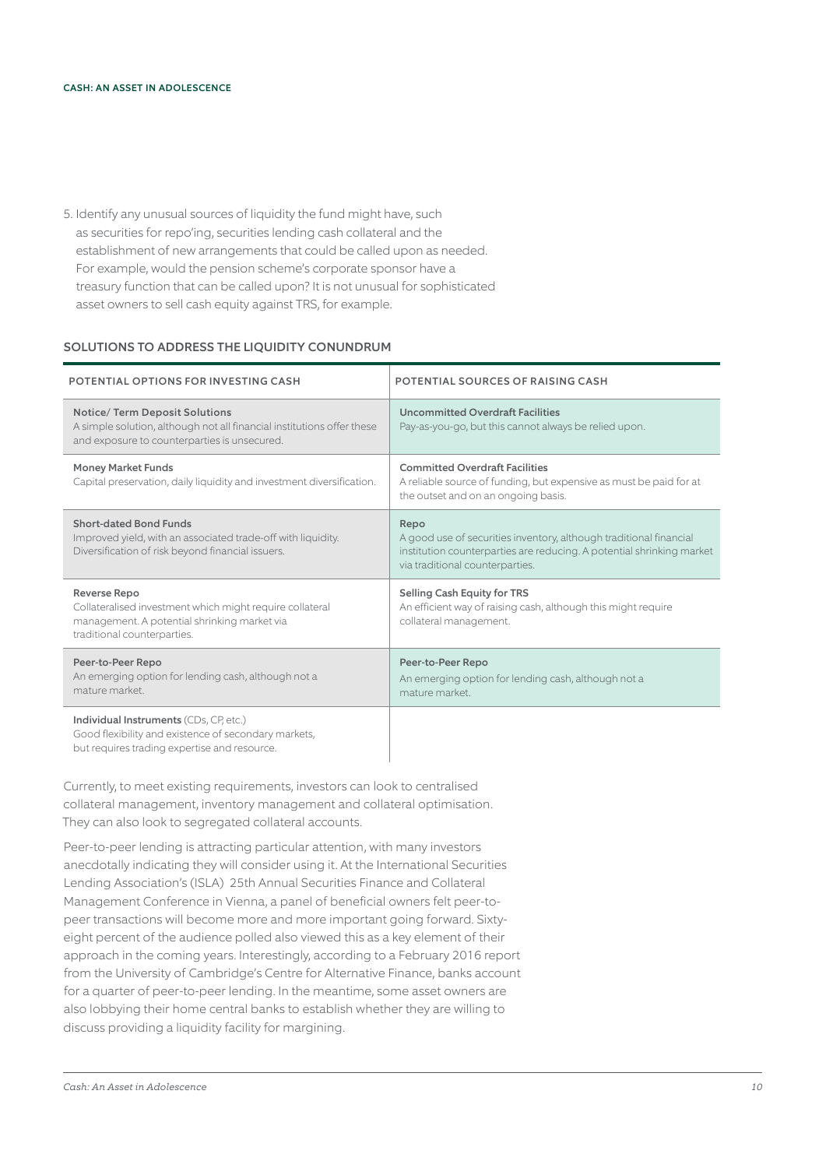5. Identify any unusual sources of liquidity the fund might have, such as securities for repo'ing, securities lending cash collateral and the establishment of new arrangements that could be called upon as needed. For example, would the pension scheme's corporate sponsor have a treasury function that can be called upon? It is not unusual for sophisticated asset owners to sell cash equity against TRS, for example.

# SOLUTIONS TO ADDRESS THE LIQUIDITY CONUNDRUM

| POTENTIAL OPTIONS FOR INVESTING CASH                                                                                                                            | POTENTIAL SOURCES OF RAISING CASH                                                                                                                                                      |
|-----------------------------------------------------------------------------------------------------------------------------------------------------------------|----------------------------------------------------------------------------------------------------------------------------------------------------------------------------------------|
| <b>Notice/ Term Deposit Solutions</b><br>A simple solution, although not all financial institutions offer these<br>and exposure to counterparties is unsecured. | <b>Uncommitted Overdraft Facilities</b><br>Pay-as-you-go, but this cannot always be relied upon.                                                                                       |
| <b>Money Market Funds</b><br>Capital preservation, daily liquidity and investment diversification.                                                              | <b>Committed Overdraft Facilities</b><br>A reliable source of funding, but expensive as must be paid for at<br>the outset and on an ongoing basis.                                     |
| Short-dated Bond Funds<br>Improved yield, with an associated trade-off with liquidity.<br>Diversification of risk beyond financial issuers.                     | Repo<br>A good use of securities inventory, although traditional financial<br>institution counterparties are reducing. A potential shrinking market<br>via traditional counterparties. |
| Reverse Repo<br>Collateralised investment which might require collateral<br>management. A potential shrinking market via<br>traditional counterparties.         | Selling Cash Equity for TRS<br>An efficient way of raising cash, although this might require<br>collateral management.                                                                 |
| Peer-to-Peer Repo<br>An emerging option for lending cash, although not a<br>mature market.                                                                      | Peer-to-Peer Repo<br>An emerging option for lending cash, although not a<br>mature market.                                                                                             |
| Individual Instruments (CDs, CP, etc.)<br>Good flexibility and existence of secondary markets,<br>but requires trading expertise and resource.                  |                                                                                                                                                                                        |

Currently, to meet existing requirements, investors can look to centralised collateral management, inventory management and collateral optimisation. They can also look to segregated collateral accounts.

Peer-to-peer lending is attracting particular attention, with many investors anecdotally indicating they will consider using it. At the International Securities Lending Association's (ISLA) 25th Annual Securities Finance and Collateral Management Conference in Vienna, a panel of beneficial owners felt peer-topeer transactions will become more and more important going forward. Sixtyeight percent of the audience polled also viewed this as a key element of their approach in the coming years. Interestingly, according to a February 2016 report from the University of Cambridge's Centre for Alternative Finance, banks account for a quarter of peer-to-peer lending. In the meantime, some asset owners are also lobbying their home central banks to establish whether they are willing to discuss providing a liquidity facility for margining.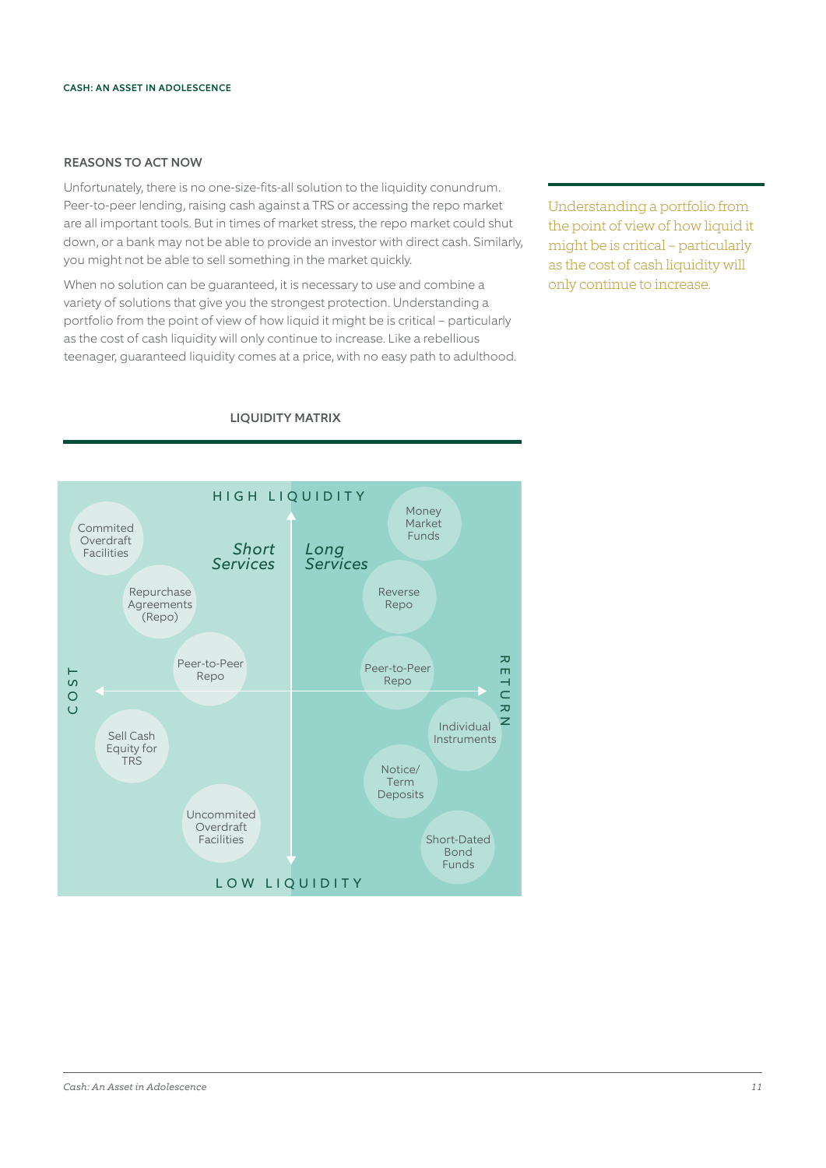# REASONS TO ACT NOW

Unfortunately, there is no one-size-fits-all solution to the liquidity conundrum. Peer-to-peer lending, raising cash against a TRS or accessing the repo market are all important tools. But in times of market stress, the repo market could shut down, or a bank may not be able to provide an investor with direct cash. Similarly, you might not be able to sell something in the market quickly.

When no solution can be guaranteed, it is necessary to use and combine a variety of solutions that give you the strongest protection. Understanding a portfolio from the point of view of how liquid it might be is critical – particularly as the cost of cash liquidity will only continue to increase. Like a rebellious teenager, guaranteed liquidity comes at a price, with no easy path to adulthood. Understanding a portfolio from the point of view of how liquid it might be is critical – particularly as the cost of cash liquidity will only continue to increase.



# LIQUIDITY MATRIX